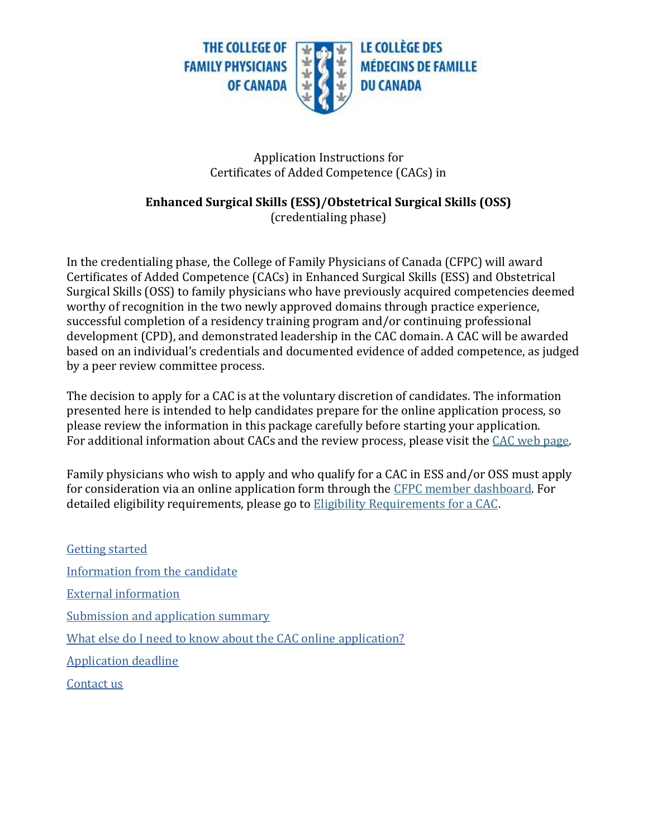

### Application Instructions for Certificates of Added Competence (CACs) in

## **Enhanced Surgical Skills (ESS)/Obstetrical Surgical Skills (OSS)** (credentialing phase)

In the credentialing phase, the College of Family Physicians of Canada (CFPC) will award Certificates of Added Competence (CACs) in Enhanced Surgical Skills (ESS) and Obstetrical Surgical Skills (OSS) to family physicians who have previously acquired competencies deemed worthy of recognition in the two newly approved domains through practice experience, successful completion of a residency training program and/or continuing professional development (CPD), and demonstrated leadership in the CAC domain. A CAC will be awarded based on an individual's credentials and documented evidence of added competence, as judged by a peer review committee process.

The decision to apply for a CAC is at the voluntary discretion of candidates. The information presented here is intended to help candidates prepare for the online application process, so please review the information in this package carefully before starting your application. For additional information about CACs and the review process, please visit the [CAC web page.](https://www.cfpc.ca/en/education-professional-development/examinations-and-certification/certificates-of-added-competence-in-family-medicin)

Family physicians who wish to apply and who qualify for a CAC in ESS and/or OSS must apply for consideration via an online application form through the [CFPC member dashboard.](https://www.cfpc.ca/login/) For detailed eligibility requirements, please go to [Eligibility Requirements for a CAC](https://www.cfpc.ca/en/education-professional-development/examinations-and-certification/certificates-of-added-competence-in-family-medicin).

[Getting started](#page-1-0) [Information from the](#page-1-1) candidate [External information](#page-3-0) [Submission and application summary](#page-5-0) [What else do I need to know about the CAC online application?](#page-5-1) [Application deadline](#page-6-0) [Contact us](#page-6-1)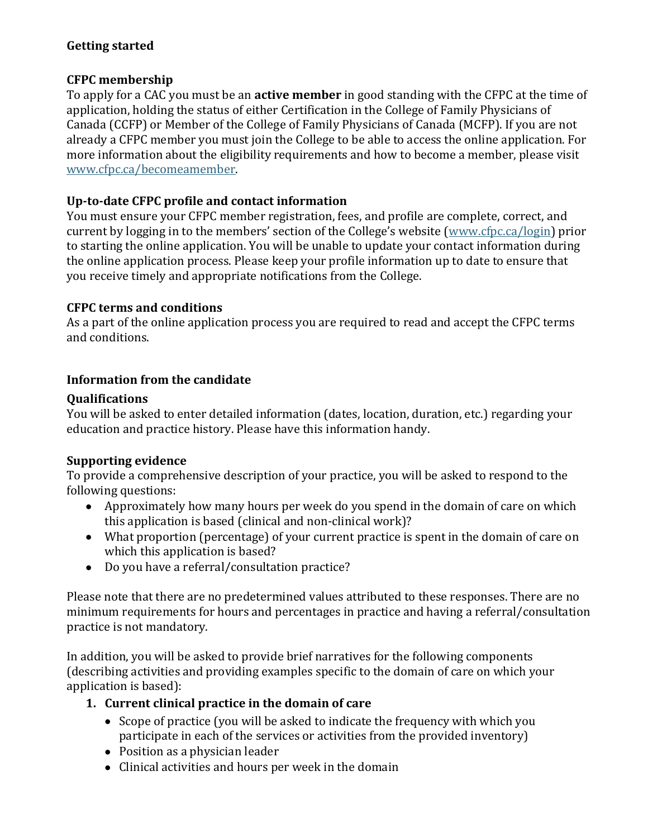# <span id="page-1-0"></span>**Getting started**

## **CFPC membership**

To apply for a CAC you must be an **active member** in good standing with the CFPC at the time of application, holding the status of either Certification in the College of Family Physicians of Canada (CCFP) or Member of the College of Family Physicians of Canada (MCFP). If you are not already a CFPC member you must join the College to be able to access the online application. For more information about the eligibility requirements and how to become a member, please visit [www.cfpc.ca/becomeamember.](http://www.cfpc.ca/becomeamember/)

## **Up-to-date CFPC profile and contact information**

You must ensure your CFPC member registration, fees, and profile are complete, correct, and current by logging in to the members' section of the College's website ([www.cfpc.ca/login\)](https://www.cfpc.ca/login/) prior to starting the online application. You will be unable to update your contact information during the online application process. Please keep your profile information up to date to ensure that you receive timely and appropriate notifications from the College.

## **CFPC terms and conditions**

As a part of the online application process you are required to read and accept the CFPC terms and conditions.

# <span id="page-1-1"></span>**Information from the candidate**

# **Qualifications**

You will be asked to enter detailed information (dates, location, duration, etc.) regarding your education and practice history. Please have this information handy.

## **Supporting evidence**

To provide a comprehensive description of your practice, you will be asked to respond to the following questions:

- Approximately how many hours per week do you spend in the domain of care on which this application is based (clinical and non-clinical work)?
- What proportion (percentage) of your current practice is spent in the domain of care on which this application is based?
- Do you have a referral/consultation practice?

Please note that there are no predetermined values attributed to these responses. There are no minimum requirements for hours and percentages in practice and having a referral/consultation practice is not mandatory.

In addition, you will be asked to provide brief narratives for the following components (describing activities and providing examples specific to the domain of care on which your application is based):

# **1. Current clinical practice in the domain of care**

- Scope of practice (you will be asked to indicate the frequency with which you participate in each of the services or activities from the provided inventory)
- Position as a physician leader
- Clinical activities and hours per week in the domain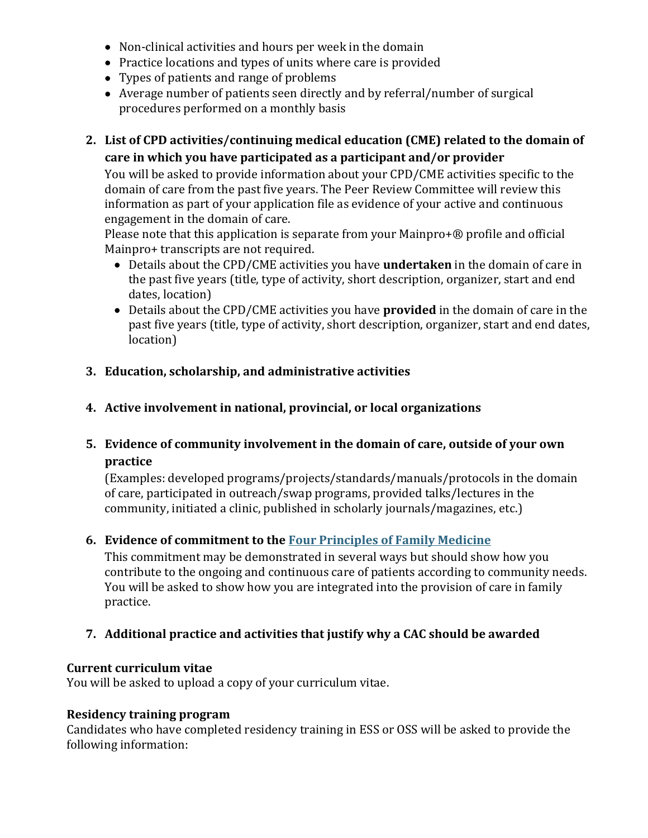- Non-clinical activities and hours per week in the domain
- Practice locations and types of units where care is provided
- Types of patients and range of problems
- Average number of patients seen directly and by referral/number of surgical procedures performed on a monthly basis
- **2. List of CPD activities/continuing medical education (CME) related to the domain of care in which you have participated as a participant and/or provider**

You will be asked to provide information about your CPD/CME activities specific to the domain of care from the past five years. The Peer Review Committee will review this information as part of your application file as evidence of your active and continuous engagement in the domain of care.

Please note that this application is separate from your Mainpro+® profile and official Mainpro+ transcripts are not required.

- Details about the CPD/CME activities you have **undertaken** in the domain of care in the past five years (title, type of activity, short description, organizer, start and end dates, location)
- Details about the CPD/CME activities you have **provided** in the domain of care in the past five years (title, type of activity, short description, organizer, start and end dates, location)

## **3. Education, scholarship, and administrative activities**

# **4. Active involvement in national, provincial, or local organizations**

# **5. Evidence of community involvement in the domain of care, outside of your own practice**

(Examples: developed programs/projects/standards/manuals/protocols in the domain of care, participated in outreach/swap programs, provided talks/lectures in the community, initiated a clinic, published in scholarly journals/magazines, etc.)

## **6. Evidence of commitment to th[e Four Principles of Family Medicine](https://www.cfpc.ca/en/about-us/vision-mission-principles)**

This commitment may be demonstrated in several ways but should show how you contribute to the ongoing and continuous care of patients according to community needs. You will be asked to show how you are integrated into the provision of care in family practice.

## **7. Additional practice and activities that justify why a CAC should be awarded**

#### **Current curriculum vitae**

You will be asked to upload a copy of your curriculum vitae.

#### **Residency training program**

Candidates who have completed residency training in ESS or OSS will be asked to provide the following information: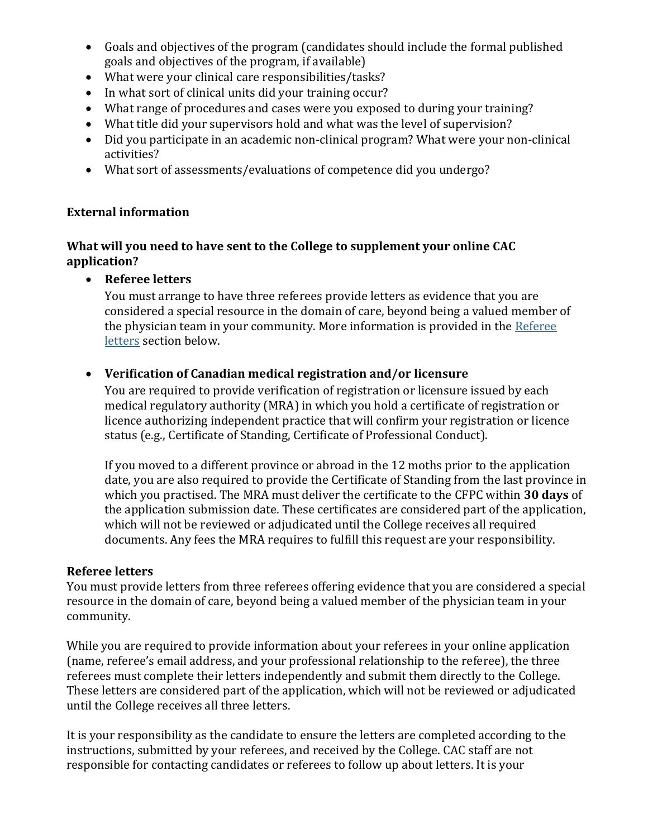- Goals and objectives of the program (candidates should include the formal published goals and objectives of the program, if available)
- What were your clinical care responsibilities/tasks?
- In what sort of clinical units did your training occur?
- What range of procedures and cases were you exposed to during your training?
- What title did your supervisors hold and what was the level of supervision?
- Did you participate in an academic non-clinical program? What were your non-clinical activities?
- What sort of assessments/evaluations of competence did you undergo?

## <span id="page-3-0"></span>**External information**

## **What will you need to have sent to the College to supplement your online CAC application?**

• **Referee letters**

You must arrange to have three referees provide letters as evidence that you are considered a special resource in the domain of care, beyond being a valued member of the physician team in your community. More information is provided in the Referee [letters](#page-3-1) section below.

# • **Verification of Canadian medical registration and/or licensure**

You are required to provide verification of registration or licensure issued by each medical regulatory authority (MRA) in which you hold a certificate of registration or licence authorizing independent practice that will confirm your registration or licence status (e.g., Certificate of Standing, Certificate of Professional Conduct).

If you moved to a different province or abroad in the 12 moths prior to the application date, you are also required to provide the Certificate of Standing from the last province in which you practised. The MRA must deliver the certificate to the CFPC within **30 days** of the application submission date. These certificates are considered part of the application, which will not be reviewed or adjudicated until the College receives all required documents. Any fees the MRA requires to fulfill this request are your responsibility.

## <span id="page-3-1"></span>**Referee letters**

You must provide letters from three referees offering evidence that you are considered a special resource in the domain of care, beyond being a valued member of the physician team in your community.

While you are required to provide information about your referees in your online application (name, referee's email address, and your professional relationship to the referee), the three referees must complete their letters independently and submit them directly to the College. These letters are considered part of the application, which will not be reviewed or adjudicated until the College receives all three letters.

It is your responsibility as the candidate to ensure the letters are completed according to the instructions, submitted by your referees, and received by the College. CAC staff are not responsible for contacting candidates or referees to follow up about letters. It is your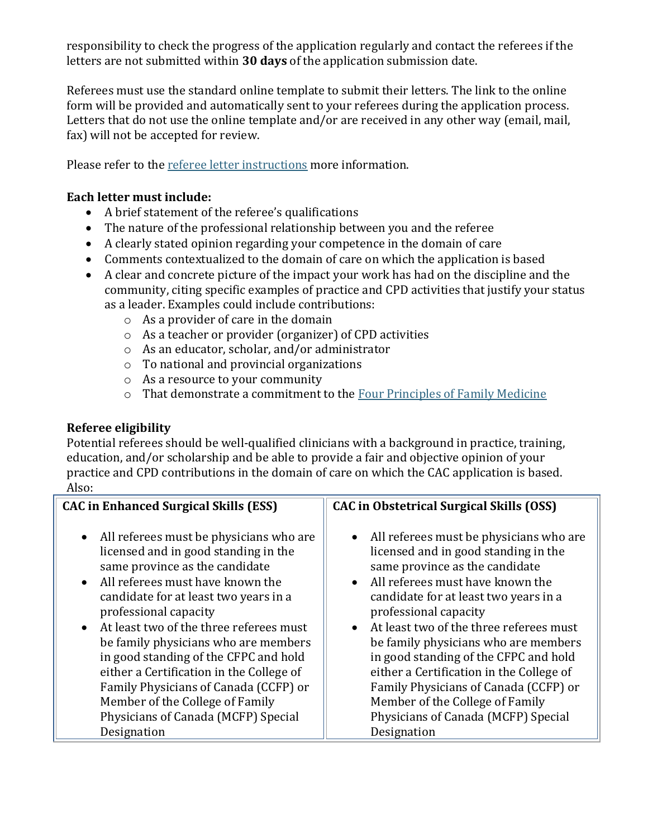responsibility to check the progress of the application regularly and contact the referees if the letters are not submitted within **30 days** of the application submission date.

Referees must use the standard online template to submit their letters. The link to the online form will be provided and automatically sent to your referees during the application process. Letters that do not use the online template and/or are received in any other way (email, mail, fax) will not be accepted for review.

Please refer to the [referee letter instructions](https://portal.cfpc.ca/resourcesdocs/uploadedFiles/Education/Referee-Letter-Instructions-FINAL-ENG.pdf) more information.

### **Each letter must include:**

- A brief statement of the referee's qualifications
- The nature of the professional relationship between you and the referee
- A clearly stated opinion regarding your competence in the domain of care
- Comments contextualized to the domain of care on which the application is based
- A clear and concrete picture of the impact your work has had on the discipline and the community, citing specific examples of practice and CPD activities that justify your status as a leader. Examples could include contributions:
	- o As a provider of care in the domain
	- o As a teacher or provider (organizer) of CPD activities
	- o As an educator, scholar, and/or administrator
	- o To national and provincial organizations
	- o As a resource to your community
	- o That demonstrate a commitment to the [Four Principles of Family Medicine](https://www.cfpc.ca/en/about-us/vision-mission-principles)

## **Referee eligibility**

Potential referees should be well-qualified clinicians with a background in practice, training, education, and/or scholarship and be able to provide a fair and objective opinion of your practice and CPD contributions in the domain of care on which the CAC application is based. Also:

| <b>CAC in Enhanced Surgical Skills (ESS)</b> | CAC in Obstetrical Surgical Skills (OSS)  |
|----------------------------------------------|-------------------------------------------|
| • All referees must be physicians who are    | • All referees must be physicians who are |
| licensed and in good standing in the         | licensed and in good standing in the      |
| same province as the candidate               | same province as the candidate            |
| • All referees must have known the           | • All referees must have known the        |
| candidate for at least two years in a        | candidate for at least two years in a     |
| professional capacity                        | professional capacity                     |
| • At least two of the three referees must    | • At least two of the three referees must |
| be family physicians who are members         | be family physicians who are members      |
| in good standing of the CFPC and hold        | in good standing of the CFPC and hold     |
| either a Certification in the College of     | either a Certification in the College of  |
| Family Physicians of Canada (CCFP) or        | Family Physicians of Canada (CCFP) or     |
| Member of the College of Family              | Member of the College of Family           |
| Physicians of Canada (MCFP) Special          | Physicians of Canada (MCFP) Special       |
| Designation                                  | Designation                               |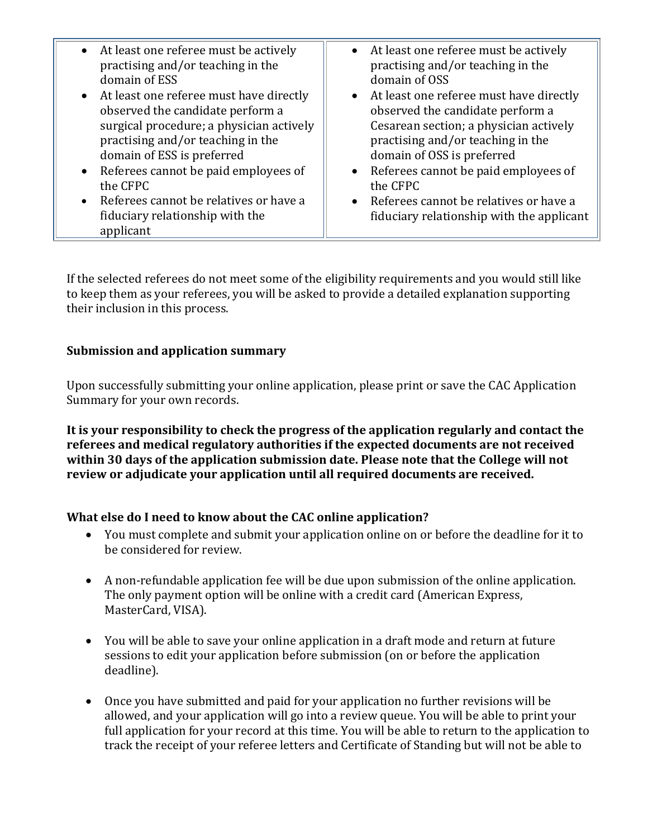| • At least one referee must be actively<br>• At least one referee must be actively<br>practising and/or teaching in the<br>practising and/or teaching in the<br>domain of OSS<br>domain of ESS<br>• At least one referee must have directly<br>• At least one referee must have directly<br>observed the candidate perform a<br>observed the candidate perform a<br>surgical procedure; a physician actively<br>Cesarean section; a physician actively<br>practising and/or teaching in the<br>practising and/or teaching in the<br>domain of OSS is preferred<br>domain of ESS is preferred<br>• Referees cannot be paid employees of<br>• Referees cannot be paid employees of<br>the CFPC<br>the CFPC<br>• Referees cannot be relatives or have a<br>• Referees cannot be relatives or have a<br>fiduciary relationship with the<br>fiduciary relationship with the applicant<br>applicant |  |
|-----------------------------------------------------------------------------------------------------------------------------------------------------------------------------------------------------------------------------------------------------------------------------------------------------------------------------------------------------------------------------------------------------------------------------------------------------------------------------------------------------------------------------------------------------------------------------------------------------------------------------------------------------------------------------------------------------------------------------------------------------------------------------------------------------------------------------------------------------------------------------------------------|--|
|                                                                                                                                                                                                                                                                                                                                                                                                                                                                                                                                                                                                                                                                                                                                                                                                                                                                                               |  |

If the selected referees do not meet some of the eligibility requirements and you would still like to keep them as your referees, you will be asked to provide a detailed explanation supporting their inclusion in this process.

## <span id="page-5-0"></span>**Submission and application summary**

Upon successfully submitting your online application, please print or save the CAC Application Summary for your own records.

**It is your responsibility to check the progress of the application regularly and contact the referees and medical regulatory authorities if the expected documents are not received within 30 days of the application submission date. Please note that the College will not review or adjudicate your application until all required documents are received.** 

## <span id="page-5-1"></span>**What else do I need to know about the CAC online application?**

- You must complete and submit your application online on or before the deadline for it to be considered for review.
- A non-refundable application fee will be due upon submission of the online application. The only payment option will be online with a credit card (American Express, MasterCard, VISA).
- You will be able to save your online application in a draft mode and return at future sessions to edit your application before submission (on or before the application deadline).
- Once you have submitted and paid for your application no further revisions will be allowed, and your application will go into a review queue. You will be able to print your full application for your record at this time. You will be able to return to the application to track the receipt of your referee letters and Certificate of Standing but will not be able to